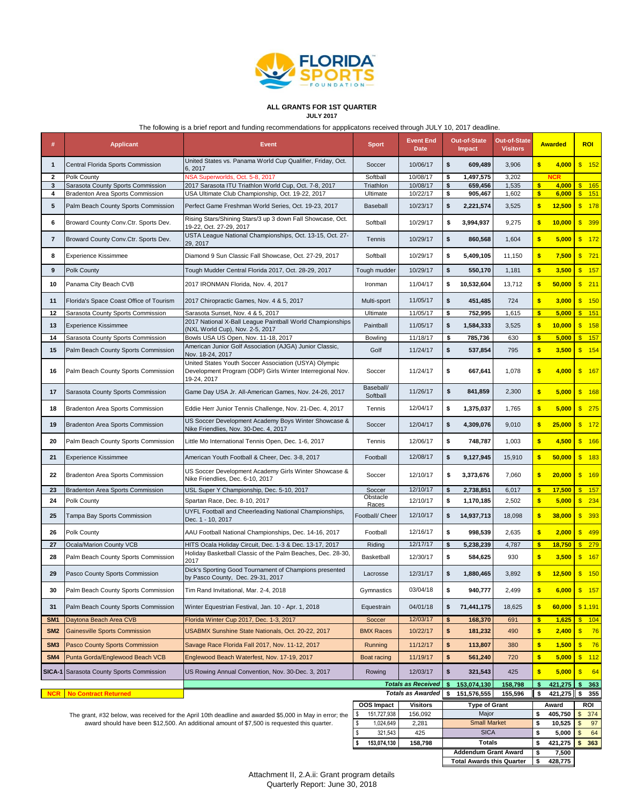

#### **ALL GRANTS FOR 1ST QUARTER JULY 2017**

The following is a brief report and funding recommendations for appplicatons received through JULY 10, 2017 deadline.

|                 |                                         | The following is a brief report and funding recommendations for appplicatons received through JULY 10, 2017 deadline. |                        |                                 |    |                             |                                        |                         |                |                         |
|-----------------|-----------------------------------------|-----------------------------------------------------------------------------------------------------------------------|------------------------|---------------------------------|----|-----------------------------|----------------------------------------|-------------------------|----------------|-------------------------|
| #               | <b>Applicant</b>                        | <b>Event</b>                                                                                                          | <b>Sport</b>           | <b>Event End</b><br><b>Date</b> |    | Out-of-State<br>Impact      | <b>Out-of-State</b><br><b>Visitors</b> |                         | <b>Awarded</b> | <b>ROI</b>              |
| 1               | Central Florida Sports Commission       | United States vs. Panama World Cup Qualifier, Friday, Oct.<br>6, 2017                                                 | Soccer                 | 10/06/17                        | \$ | 609,489                     | 3,906                                  | \$                      | 4,000          | \$ 152                  |
| 2               | Polk County                             | NSA Superworlds, Oct. 5-8, 2017                                                                                       | Softball               | 10/08/17                        | \$ | 1,497,575                   | 3,202                                  |                         | <b>NCR</b>     |                         |
| 3               | Sarasota County Sports Commission       | 2017 Sarasota ITU Triathlon World Cup, Oct. 7-8, 2017                                                                 | Triathlon              | 10/08/17                        | \$ | 659,456                     | 1,535                                  | \$                      | 4,000          | \$ 165                  |
| 4               | Bradenton Area Sports Commission        | USA Ultimate Club Championship, Oct. 19-22, 2017                                                                      | Ultimate               | 10/22/17                        | \$ | 905,467                     | 1,602                                  | $\bullet$               | 6,000          | \$ 151                  |
| 5               | Palm Beach County Sports Commission     | Perfect Game Freshman World Series, Oct. 19-23, 2017                                                                  | Baseball               | 10/23/17                        | \$ | 2,221,574                   | 3,525                                  | $\frac{1}{2}$           | 12,500         | \$ 178                  |
| 6               | Broward County Conv.Ctr. Sports Dev.    | Rising Stars/Shining Stars/3 up 3 down Fall Showcase, Oct.<br>19-22, Oct. 27-29, 2017                                 | Softball               | 10/29/17                        | \$ | 3,994,937                   | 9,275                                  | \$                      | 10,000         | \$399                   |
| 7               | Broward County Conv.Ctr. Sports Dev.    | USTA League National Championships, Oct. 13-15, Oct. 27-<br>29, 2017                                                  | Tennis                 | 10/29/17                        | \$ | 860,568                     | 1,604                                  | $\sqrt{2}$              | 5,000          | \$ 172                  |
| 8               | <b>Experience Kissimmee</b>             | Diamond 9 Sun Classic Fall Showcase, Oct. 27-29, 2017                                                                 | Softball               | 10/29/17                        | \$ | 5,409,105                   | 11,150                                 | $\sqrt{2}$              | 7,500          | $\sqrt{3}$<br>721       |
| 9               | Polk County                             | Tough Mudder Central Florida 2017, Oct. 28-29, 2017                                                                   | Tough mudder           | 10/29/17                        | \$ | 550,170                     | 1,181                                  | \$                      | 3,500          | $\sqrt{3}$<br>$-157$    |
| 10              | Panama City Beach CVB                   | 2017 IRONMAN Florida, Nov. 4, 2017                                                                                    | Ironman                | 11/04/17                        | \$ | 10,532,604                  | 13,712                                 | $\frac{1}{2}$           | 50,000         | \$ 211                  |
| 11              | Florida's Space Coast Office of Tourism | 2017 Chiropractic Games, Nov. 4 & 5, 2017                                                                             | Multi-sport            | 11/05/17                        | \$ | 451,485                     | 724                                    | $\overline{\mathbf{3}}$ | 3,000          | \$ 150                  |
| 12              | Sarasota County Sports Commission       | Sarasota Sunset, Nov. 4 & 5, 2017                                                                                     | Ultimate               | 11/05/17                        | \$ | 752,995                     | 1,615                                  | $\bullet$               | 5,000          | $\frac{1}{5}$ 151       |
| 13              | <b>Experience Kissimmee</b>             | 2017 National X-Ball League Paintball World Championships<br>(NXL World Cup), Nov. 2-5, 2017                          | Paintball              | 11/05/17                        | \$ | 1,584,333                   | 3,525                                  | $\frac{1}{2}$           | 10,000         | $\sqrt[3]{3}$<br>158    |
| 14              | Sarasota County Sports Commission       | Bowls USA US Open, Nov. 11-18, 2017<br>American Junior Golf Association (AJGA) Junior Classic,                        | Bowling                | 11/18/17                        | \$ | 785,736                     | 630                                    | \$                      | 5,000          | $\frac{1}{2}$ 157       |
| 15              | Palm Beach County Sports Commission     | Nov. 18-24, 2017<br>United States Youth Soccer Association (USYA) Olympic                                             | Golf                   | 11/24/17                        | \$ | 537,854                     | 795                                    | $\frac{1}{2}$           | 3,500          | $\sqrt{3}$<br>154       |
| 16              | Palm Beach County Sports Commission     | Development Program (ODP) Girls Winter Interregional Nov.<br>19-24, 2017                                              | Soccer                 | 11/24/17                        | \$ | 667,641                     | 1,078                                  | \$                      | 4,000          | \$ 167                  |
| 17              | Sarasota County Sports Commission       | Game Day USA Jr. All-American Games, Nov. 24-26, 2017                                                                 | Baseball/<br>Softball  | 11/26/17                        | \$ | 841,859                     | 2,300                                  | $\sqrt{3}$              | 5,000          | \$ 168                  |
| 18              | Bradenton Area Sports Commission        | Eddie Herr Junior Tennis Challenge, Nov. 21-Dec. 4, 2017                                                              | Tennis                 | 12/04/17                        | \$ | 1,375,037                   | 1,765                                  | \$                      | 5,000          | \$275                   |
| 19              | Bradenton Area Sports Commission        | US Soccer Development Academy Boys Winter Showcase &<br>Nike Friendlies, Nov. 30-Dec. 4, 2017                         | Soccer                 | 12/04/17                        | \$ | 4,309,076                   | 9,010                                  | $\sqrt[3]{2}$           | 25,000         | $\sqrt{3}$<br>$-172$    |
| 20              | Palm Beach County Sports Commission     | Little Mo International Tennis Open, Dec. 1-6, 2017                                                                   | Tennis                 | 12/06/17                        | \$ | 748,787                     | 1,003                                  | $\overline{\mathbf{3}}$ | 4,500          | $\sqrt{3}$<br>$-166$    |
| 21              | <b>Experience Kissimmee</b>             | American Youth Football & Cheer, Dec. 3-8, 2017                                                                       | Football               | 12/08/17                        | \$ | 9,127,945                   | 15,910                                 | \$                      | 50,000         | $\sqrt[3]{2}$<br>183    |
| 22              | Bradenton Area Sports Commission        | US Soccer Development Academy Girls Winter Showcase &<br>Nike Friendlies, Dec. 6-10, 2017                             | Soccer                 | 12/10/17                        | \$ | 3,373,676                   | 7,060                                  | \$                      | 20,000         | $\sqrt{3}$<br>$-169$    |
| 23              | Bradenton Area Sports Commission        | USL Super Y Championship, Dec. 5-10, 2017                                                                             | Soccer<br>Obstacle     | 12/10/17                        | \$ | 2,738,851                   | 6,017                                  | $\frac{1}{2}$           | 17,500         | $\mathbf{s}$<br>157     |
| 24              | Polk County                             | Spartan Race, Dec. 8-10, 2017                                                                                         | Races                  | 12/10/17                        | \$ | 1,170,185                   | 2,502                                  | \$                      | 5,000          | $\sqrt{3}$<br>234       |
| 25              | Tampa Bay Sports Commission             | UYFL Football and Cheerleading National Championships,<br>Dec. 1 - 10, 2017                                           | Football/ Cheer        | 12/10/17                        | \$ | 14,937,713                  | 18,098                                 | \$                      | 38,000         | $\sqrt{3}$<br>393       |
| 26              | Polk County                             | AAU Football National Championships, Dec. 14-16, 2017                                                                 | Football               | 12/16/17                        | \$ | 998,539                     | 2,635                                  | $\overline{\mathbf{3}}$ | 2,000          | $\sqrt{3}$<br>499       |
| 27              | Ocala/Marion County VCB                 | HITS Ocala Holiday Circuit, Dec. 1-3 & Dec. 13-17, 2017                                                               | Riding                 | 12/17/17                        | \$ | 5,238,239                   | 4,787                                  | $\bullet$               | 18,750         | $\mathsf{s}$<br>279     |
| 28              | Palm Beach County Sports Commission     | Holiday Basketball Classic of the Palm Beaches, Dec. 28-30,<br>2017                                                   | Basketball             | 12/30/17                        | \$ | 584,625                     | 930                                    | $\frac{1}{2}$           | 3,500          | $\sqrt{3}$<br>$-167$    |
| 29              | Pasco County Sports Commission          | Dick's Sporting Good Tournament of Champions presented<br>by Pasco County, Dec. 29-31, 2017                           | Lacrosse               | 12/31/17                        | \$ | 1,880,465                   | 3,892                                  | $\overline{\mathbf{3}}$ | 12,500         | \$ 150                  |
| 30              | Palm Beach County Sports Commission     | Tim Rand Invitational, Mar. 2-4, 2018                                                                                 | Gymnastics             | 03/04/18                        | \$ | 940,777                     | 2,499                                  | \$                      | 6,000          | $\sqrt[3]{2}$<br>$-157$ |
| 31              | Palm Beach County Sports Commission     | Winter Equestrian Festival, Jan. 10 - Apr. 1, 2018                                                                    | Equestrain             | 04/01/18                        | \$ | 71,441,175                  | 18,625                                 | \$                      | 60,000         | \$1,191                 |
| SM <sub>1</sub> | Daytona Beach Area CVB                  | Florida Winter Cup 2017, Dec. 1-3, 2017                                                                               | Soccer                 | 12/03/17                        | \$ | 168,370                     | 691                                    | $\frac{1}{2}$           | 1,625          | \$ 104                  |
| SM <sub>2</sub> | <b>Gainesville Sports Commission</b>    | USABMX Sunshine State Nationals, Oct. 20-22, 2017                                                                     | <b>BMX Races</b>       | 10/22/17                        | \$ | 181,232                     | 490                                    | \$                      | 2,400          | $\frac{1}{2}$<br>76     |
| SM <sub>3</sub> | <b>Pasco County Sports Commission</b>   | Savage Race Florida Fall 2017, Nov. 11-12, 2017                                                                       | Running                | 11/12/17                        | \$ | 113,807                     | 380                                    | \$                      | 1,500          | $\sqrt{3}$<br>76        |
| SM4             | Punta Gorda/Englewood Beach VCB         | Englewood Beach Waterfest, Nov. 17-19, 2017                                                                           | Boat racing            | 11/19/17                        | \$ | 561,240                     | 720                                    | \$                      | 5,000          | $\sqrt[6]{3}$<br>112    |
| SICA-1          | Sarasota County Sports Commission       | US Rowing Annual Convention, Nov. 30-Dec. 3, 2017                                                                     | Rowing                 | 12/03/17                        | \$ | 321,543                     | 425                                    | \$                      | 5,000          | $\sqrt{3}$<br>$-64$     |
|                 |                                         |                                                                                                                       |                        | <b>Totals as Received</b>       | s  | 153,074,130                 | 158,798                                | \$                      | 421,275        | \$<br>363               |
| <b>NCR</b>      | <b>No Contract Returned</b>             |                                                                                                                       |                        | <b>Totals as Awarded</b>        | \$ | 151,576,555                 | 155,596                                | \$                      | 421,275        | 355<br>\$               |
|                 |                                         |                                                                                                                       | <b>OOS Impact</b>      | <b>Visitors</b>                 |    | <b>Type of Grant</b>        |                                        |                         | Award          | ROI                     |
|                 |                                         | The grant, #32 below, was received for the April 10th deadline and awarded \$5,000 in May in error; the               | \$<br>151,727,938      | 156,092                         |    | Major                       |                                        | \$                      | 405,750        | \$<br>374               |
|                 |                                         | award should have been \$12,500. An additional amount of \$7,500 is requested this quarter.                           | \$<br>1,024,649        | 2,281                           |    | <b>Small Market</b>         |                                        | \$                      | 10,525         | \$<br>97                |
|                 |                                         |                                                                                                                       | $\mathbb S$<br>321,543 | 425                             |    | <b>SICA</b>                 |                                        | \$                      | 5,000          | \$<br>64                |
|                 |                                         |                                                                                                                       | 153,074,130            | 158,798                         |    | <b>Totals</b>               |                                        | \$                      | 421,275        | \$<br>363               |
|                 |                                         |                                                                                                                       |                        |                                 |    | <b>Addendum Grant Award</b> |                                        | \$                      | 7,500          |                         |

**\$ 428,775 Total Awards this Quarter**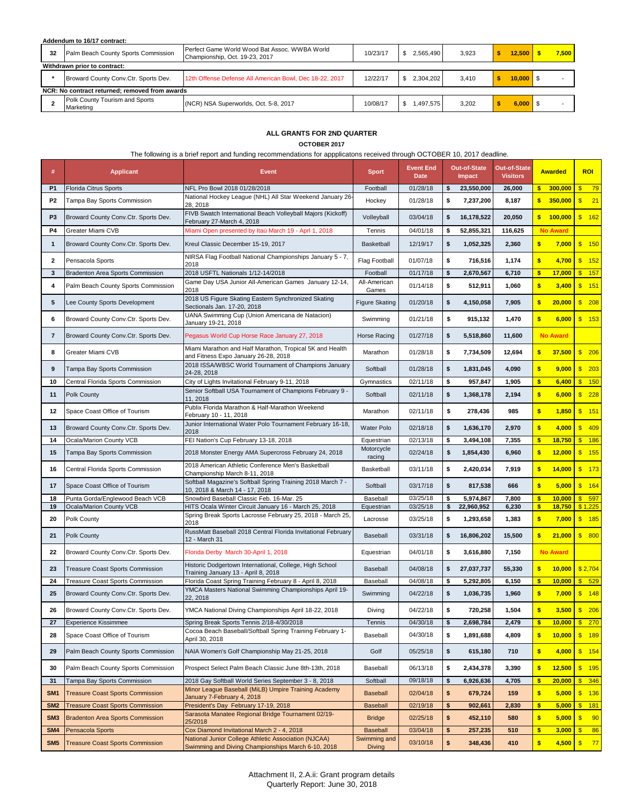## **Addendum to 16/17 contract:**

| 32 | Palm Beach County Sports Commission            | Perfect Game World Wood Bat Assoc. WWBA World<br>Championship, Oct. 19-23, 2017 | 10/23/17 | 2.565.490 | 3.923 |  | 12,500              |  | 7.500 |
|----|------------------------------------------------|---------------------------------------------------------------------------------|----------|-----------|-------|--|---------------------|--|-------|
|    | Withdrawn prior to contract:                   |                                                                                 |          |           |       |  |                     |  |       |
|    | Broward County Conv.Ctr. Sports Dev.           | 12th Offense Defense All American Bowl, Dec 18-22, 2017                         | 12/22/17 | 2.304.202 | 3.410 |  | $10,000$ $\sqrt{5}$ |  |       |
|    | NCR: No contract returned; removed from awards |                                                                                 |          |           |       |  |                     |  |       |
|    | Polk County Tourism and Sports<br>Marketing    | (NCR) NSA Superworlds, Oct. 5-8, 2017                                           | 10/08/17 | .497.575  | 3.202 |  | $6,000$   \$        |  |       |

# **ALL GRANTS FOR 2ND QUARTER**

**OCTOBER 2017**

The following is a brief report and funding recommendations for appplicatons received through OCTOBER 10, 2017 deadline.

| #               | <b>Applicant</b>                        | <b>Event</b>                                                                                                        | <b>Sport</b>                  | <b>Event End</b><br><b>Date</b> | Out-of-State<br>Impact | Out-of-State<br><b>Visitors</b> |               | <b>Awarded</b>  |               | <b>ROI</b>          |
|-----------------|-----------------------------------------|---------------------------------------------------------------------------------------------------------------------|-------------------------------|---------------------------------|------------------------|---------------------------------|---------------|-----------------|---------------|---------------------|
| <b>P1</b>       | Florida Citrus Sports                   | NFL Pro Bowl 2018 01/28/2018                                                                                        | Football                      | 01/28/18                        | \$<br>23,550,000       | 26,000                          | \$            | 300,000         | $\mathsf{s}$  | 79                  |
| P <sub>2</sub>  | Tampa Bay Sports Commission             | National Hockey League (NHL) All Star Weekend January 26-<br>28, 2018                                               | Hockey                        | 01/28/18                        | \$<br>7,237,200        | 8,187                           | \$            | 350,000         | $\sqrt[3]{3}$ | 21                  |
| P <sub>3</sub>  | Broward County Conv.Ctr. Sports Dev.    | FIVB Swatch International Beach Volleyball Majors (Kickoff)<br>February 27-March 4, 2018                            | Volleyball                    | 03/04/18                        | \$<br>16,178,522       | 20,050                          | \$            | 100,000         |               | \$ 162              |
| P4              | Greater Miami CVB                       | Miami Open presented by Itaú March 19 - Aprl 1, 2018                                                                | Tennis                        | 04/01/18                        | \$<br>52,855,321       | 116,625                         |               | <b>No Award</b> |               |                     |
| $\mathbf{1}$    | Broward County Conv.Ctr. Sports Dev.    | Kreul Classic December 15-19, 2017                                                                                  | Basketball                    | 12/19/17                        | \$<br>1,052,325        | 2,360                           | $\bullet$     | 7,000           |               | $\frac{\$}{\$}$ 150 |
| 2               | Pensacola Sports                        | NIRSA Flag Football National Championships January 5 - 7,<br>2018                                                   | <b>Flag Football</b>          | 01/07/18                        | \$<br>716,516          | 1,174                           | \$            | 4,700           |               | $\frac{1}{2}$ 152   |
| 3               | <b>Bradenton Area Sports Commission</b> | 2018 USFTL Nationals 1/12-14/2018                                                                                   | Football                      | 01/17/18                        | \$<br>2,670,567        | 6,710                           | $\bullet$     | 17,000          |               | \$ 157              |
| 4               | Palm Beach County Sports Commission     | Game Day USA Junior All-American Games January 12-14,<br>2018                                                       | All-American<br>Games         | 01/14/18                        | \$<br>512,911          | 1,060                           | $\frac{1}{2}$ | 3,400           |               | $\frac{1}{2}$ 151   |
| 5               | Lee County Sports Development           | 2018 US Figure Skating Eastern Synchronized Skating<br>Sectionals Jan. 17-20, 2018                                  | <b>Figure Skating</b>         | 01/20/18                        | \$<br>4,150,058        | 7,905                           | $\frac{1}{2}$ | 20,000          |               | \$208               |
| 6               | Broward County Conv.Ctr. Sports Dev.    | UANA Swimming Cup (Union Americana de Natacion)<br>January 19-21, 2018                                              | Swimming                      | 01/21/18                        | \$<br>915,132          | 1,470                           | \$            | 6,000           |               | $\frac{1}{2}$ 153   |
| 7               | Broward County Conv.Ctr. Sports Dev.    | Pegasus World Cup Horse Race January 27, 2018                                                                       | Horse Racing                  | 01/27/18                        | \$<br>5,518,860        | 11,600                          |               | <b>No Award</b> |               |                     |
| 8               | Greater Miami CVB                       | Miami Marathon and Half Marathon, Tropical 5K and Health<br>and Fitness Expo January 26-28, 2018                    | Marathon                      | 01/28/18                        | \$<br>7,734,509        | 12,694                          | \$            | 37,500          |               | \$206               |
| 9               | Tampa Bay Sports Commission             | 2018 ISSA/WBSC World Tournament of Champions January<br>24-28, 2018                                                 | Softball                      | 01/28/18                        | \$<br>1,831,045        | 4,090                           | $\bullet$     | 9,000           |               | \$ 203              |
| 10              | Central Florida Sports Commission       | City of Lights Invitational February 9-11, 2018                                                                     | Gymnastics                    | 02/11/18                        | \$<br>957,847          | 1,905                           | $\bullet$     | 6,400           |               | $\frac{1}{2}$ 150   |
| 11              | Polk County                             | Senior Softball USA Tournament of Champions February 9 -<br>11, 2018                                                | Softball                      | 02/11/18                        | \$<br>1,368,178        | 2,194                           | $\frac{1}{2}$ | 6,000           |               | \$228               |
| 12              | Space Coast Office of Tourism           | Publix Florida Marathon & Half-Marathon Weekend<br>February 10 - 11, 2018                                           | Marathon                      | 02/11/18                        | \$<br>278,436          | 985                             | $\bullet$     | 1,850           |               | \$ 151              |
| 13              | Broward County Conv.Ctr. Sports Dev.    | Junior International Water Polo Tournament February 16-18,<br>2018                                                  | <b>Water Polo</b>             | 02/18/18                        | \$<br>1,636,170        | 2,970                           | $\frac{1}{2}$ | 4,000           |               | \$ 409              |
| 14              | Ocala/Marion County VCB                 | FEI Nation's Cup February 13-18, 2018                                                                               | Equestrian                    | 02/13/18                        | \$<br>3,494,108        | 7,355                           | $\bullet$     | 18,750          |               | \$ 186              |
| 15              | Tampa Bay Sports Commission             | 2018 Monster Energy AMA Supercross February 24, 2018                                                                | Motorcycle<br>racing          | 02/24/18                        | \$<br>1,854,430        | 6,960                           | $\frac{1}{2}$ | 12,000          |               | \$ 155              |
| 16              | Central Florida Sports Commission       | 2018 American Athletic Conference Men's Basketball<br>Championship March 8-11, 2018                                 | Basketball                    | 03/11/18                        | \$<br>2,420,034        | 7,919                           | $\bullet$     | 14,000          |               | \$ 173              |
| 17              | Space Coast Office of Tourism           | Softball Magazine's Softball Spring Training 2018 March 7 -<br>10, 2018 & March 14 - 17, 2018                       | Softball                      | 03/17/18                        | \$<br>817,538          | 666                             | \$            | 5,000           |               | \$ 164              |
| 18              | Punta Gorda/Englewood Beach VCB         | Snowbird Baseball Classic Feb. 16-Mar. 25                                                                           | Baseball                      | 03/25/18                        | \$<br>5,974,867        | 7,800                           | $\bullet$     | 10,000          |               | \$597               |
| 19              | Ocala/Marion County VCB                 | HITS Ocala Winter Circuit January 16 - March 25, 2018<br>Spring Break Sports Lacrosse February 25, 2018 - March 25, | Equestrian                    | 03/25/18                        | \$<br>22,960,952       | 6,230                           | \$            | 18,750          |               | \$1,225             |
| 20              | Polk County                             | 2018<br>RussMatt Baseball 2018 Central Florida Invitational February                                                | Lacrosse                      | 03/25/18                        | \$<br>1,293,658        | 1,383                           | \$            | 7,000           |               | \$ 185              |
| 21              | Polk County                             | 12 - March 31                                                                                                       | Baseball                      | 03/31/18                        | \$<br>16,806,202       | 15,500                          | \$            | 21,000          |               | \$800               |
| 22              | Broward County Conv.Ctr. Sports Dev.    | Florida Derby March 30-April 1, 2018                                                                                | Equestrian                    | 04/01/18                        | \$<br>3,616,880        | 7,150                           |               | <b>No Award</b> |               |                     |
| 23              | <b>Treasure Coast Sports Commission</b> | Historic Dodgertown International, College, High School<br>Training January 13 - April 8, 2018                      | Baseball                      | 04/08/18                        | \$<br>27,037,737       | 55,330                          | $\frac{1}{2}$ | 10,000          |               | \$2,704             |
| 24              | Treasure Coast Sports Commission        | Florida Coast Spring Training February 8 - April 8, 2018<br>YMCA Masters National Swimming Championships April 19-  | Baseball                      | 04/08/18                        | \$<br>5,292,805        | 6,150                           | \$            | 10,000          |               | \$529               |
| 25              | Broward County Conv.Ctr. Sports Dev.    | 22, 2018                                                                                                            | Swimming                      | 04/22/18                        | \$<br>1,036,735        | 1,960                           | $\bullet$     | 7,000           |               | \$ 148              |
| 26              | Broward County Conv.Ctr. Sports Dev.    | YMCA National Diving Championships April 18-22, 2018                                                                | Diving                        | 04/22/18                        | \$<br>720,258          | 1,504                           | \$            | 3,500           |               | \$206               |
| 27              | <b>Experience Kissimmee</b>             | Spring Break Sports Tennis 2/18-4/30/2018                                                                           | Tennis                        | 04/30/18                        | \$<br>2,698,784        | 2,479                           | $\frac{1}{2}$ | $10,000$ \$ 270 |               |                     |
| 28              | Space Coast Office of Tourism           | Cocoa Beach Baseball/Softball Spring Training February 1-<br>April 30, 2018                                         | Baseball                      | 04/30/18                        | \$<br>1,891,688        | 4,809                           | $\frac{1}{2}$ | 10,000          |               | \$ 189              |
| 29              | Palm Beach County Sports Commission     | NAIA Women's Golf Championship May 21-25, 2018                                                                      | Golf                          | 05/25/18                        | \$<br>615,180          | 710                             | $\frac{1}{2}$ | 4,000           |               | \$ 154              |
| 30              | Palm Beach County Sports Commission     | Prospect Select Palm Beach Classic June 8th-13th, 2018                                                              | Baseball                      | 06/13/18                        | \$<br>2,434,378        | 3,390                           | $\frac{1}{2}$ | 12,500          |               | \$ 195              |
| 31              | Tampa Bay Sports Commission             | 2018 Gay Softball World Series September 3 - 8, 2018                                                                | Softball                      | 09/18/18                        | \$<br>6,926,636        | 4,705                           | $\frac{1}{2}$ | 20,000          |               | \$346               |
| SM <sub>1</sub> | <b>Treasure Coast Sports Commission</b> | Minor League Baseball (MiLB) Umpire Training Academy<br>January 7-February 4, 2018                                  | <b>Baseball</b>               | 02/04/18                        | \$<br>679,724          | 159                             | $\frac{1}{2}$ | 5,000           |               | \$ 136              |
| SM <sub>2</sub> | <b>Treasure Coast Sports Commission</b> | President's Day February 17-19, 2018                                                                                | <b>Baseball</b>               | 02/19/18                        | \$<br>902,661          | 2,830                           | $\frac{1}{2}$ | 5,000           | $\sqrt{3}$    | 181                 |
| SM <sub>3</sub> | <b>Bradenton Area Sports Commission</b> | Sarasota Manatee Regional Bridge Tournament 02/19-<br>25/2018                                                       | <b>Bridge</b>                 | 02/25/18                        | \$<br>452,110          | 580                             | $\frac{1}{2}$ | 5,000           | $\sqrt[6]{3}$ | 90                  |
| SM4             | Pensacola Sports                        | Cox Diamond Invitational March 2 - 4, 2018                                                                          | <b>Baseball</b>               | 03/04/18                        | \$<br>257,235          | 510                             | $\frac{1}{2}$ | 3,000           | $\sqrt[3]{2}$ | 86                  |
| SM <sub>5</sub> | <b>Treasure Coast Sports Commission</b> | National Junior College Athletic Association (NJCAA)<br>Swimming and Diving Championships March 6-10, 2018          | Swimming and<br><b>Diving</b> | 03/10/18                        | \$<br>348,436          | 410                             | $\frac{1}{2}$ | $4,500$ \$      |               | 77                  |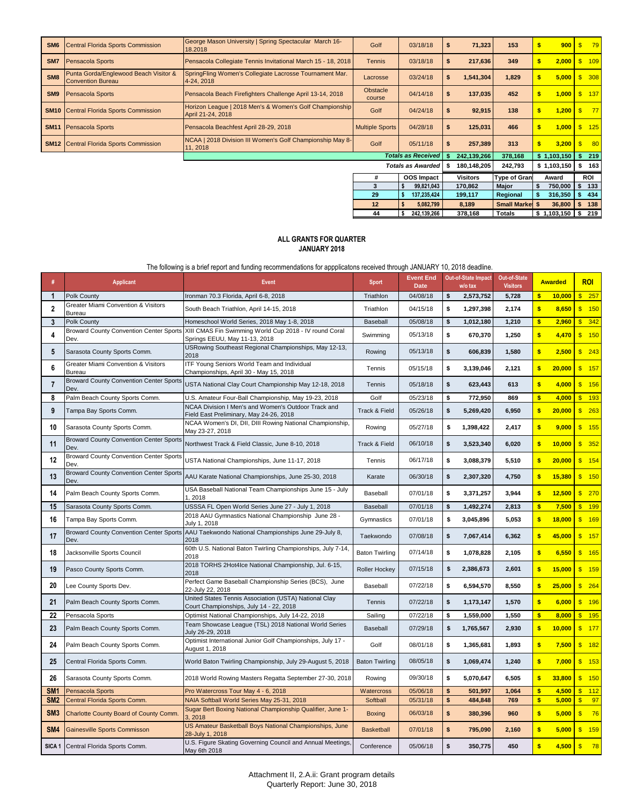| SM <sub>6</sub> | Central Florida Sports Commission                                 | George Mason University   Spring Spectacular March 16-<br>18.2018            | Golf                   | 03/18/18                  | S  | 71,323          | 153                    |          | 900                 | $\mathsf{s}$ | $-79$             |
|-----------------|-------------------------------------------------------------------|------------------------------------------------------------------------------|------------------------|---------------------------|----|-----------------|------------------------|----------|---------------------|--------------|-------------------|
| SM7             | <b>Pensacola Sports</b>                                           | Pensacola Collegiate Tennis Invitational March 15 - 18, 2018                 | <b>Tennis</b>          | 03/18/18                  |    | 217,636         | 349                    | S        | 2,000               | S            | 109               |
| SM <sub>8</sub> | Punta Gorda/Englewood Beach Visitor &<br><b>Convention Bureau</b> | SpringFling Women's Collegiate Lacrosse Tournament Mar.<br>4-24, 2018        | Lacrosse               | 03/24/18                  |    | 1,541,304       | 1,829                  |          | 5,000               |              | \$308             |
| SM <sub>9</sub> | <b>Pensacola Sports</b>                                           | Pensacola Beach Firefighters Challenge April 13-14, 2018                     | Obstacle<br>course     | 04/14/18                  | S. | 137,035         | 452                    | S        | 1,000               |              | \$ 137            |
|                 | <b>SM10</b> Central Florida Sports Commission                     | Horizon League   2018 Men's & Women's Golf Championship<br>April 21-24, 2018 | Golf                   | 04/24/18                  | я  | 92,915          | 138                    |          | 1,200               | $\mathsf{s}$ | 77                |
| <b>SM11</b>     | <b>Pensacola Sports</b>                                           | Pensacola Beachfest April 28-29, 2018                                        | <b>Multiple Sports</b> | 04/28/18                  | S  | 125,031         | 466                    | <b>S</b> | 1,000               |              | $\frac{125}{125}$ |
|                 | <b>SM12</b> Central Florida Sports Commission                     | NCAA   2018 Division III Women's Golf Championship May 8-<br>11, 2018        | Golf                   | 05/11/18                  |    | 257,389         | 313                    | Ŝ        | 3,200               | $\mathbf{s}$ | 80                |
|                 |                                                                   |                                                                              |                        | <b>Totals as Received</b> |    | 242,139,266     | 378,168                |          | \$1,103,150         | S            | 219               |
|                 |                                                                   |                                                                              |                        | <b>Totals as Awarded</b>  |    | 180,148,205     | 242,793                |          | \$1,103,150         | s            | 163               |
|                 |                                                                   |                                                                              | #                      | <b>OOS</b> Impact         |    | <b>Visitors</b> | <b>Type of Grant</b>   |          | Award               |              | ROI               |
|                 |                                                                   |                                                                              | 3                      | 99,821,043<br>S           |    | 170,862         | Major                  | Ŝ.       | 750,000             |              | 133               |
|                 |                                                                   |                                                                              | 29                     | 137,235,424               |    | 199,117         | Regional               | s.       | 316,350             |              | 434               |
|                 |                                                                   |                                                                              | 12                     | 5,082,799                 |    | 8,189           | <b>Small Market \$</b> |          | 36,800              |              | 138               |
|                 |                                                                   |                                                                              | 44                     | 242,139,266<br>s          |    | 378,168         | Totals                 |          | $$1,103,150$ $$219$ |              |                   |

### **ALL GRANTS FOR QUARTER JANUARY 2018**

The following is a brief report and funding recommendations for appplicatons received through JANUARY 10, 2018 deadline.

|                   | <b>Applicant</b>                                       | <b>Event</b>                                                                                     | <b>Sport</b>          | <b>Event End</b><br><b>Date</b> | <b>Out-of-State Impact</b><br>w/o tax | <b>Out-of-State</b><br><b>Visitors</b> |                  | <b>Awarded</b> | <b>ROI</b>       |
|-------------------|--------------------------------------------------------|--------------------------------------------------------------------------------------------------|-----------------------|---------------------------------|---------------------------------------|----------------------------------------|------------------|----------------|------------------|
| $\mathbf 1$       | Polk County                                            | Ironman 70.3 Florida, April 6-8, 2018                                                            | Triathlon             | 04/08/18                        | \$<br>2,573,752                       | 5,728                                  | \$               | 10,000         | $\frac{1}{257}$  |
| $\overline{2}$    | Greater Miami Convention & Visitors<br>Bureau          | South Beach Triathlon, April 14-15, 2018                                                         | Triathlon             | 04/15/18                        | \$<br>1,297,398                       | 2,174                                  | $\mathbf{s}$     | 8,650          | \$ 150           |
| 3                 | Polk County                                            | Homeschool World Series, 2018 May 1-8, 2018                                                      | Baseball              | 05/08/18                        | \$<br>1,012,180                       | 1,210                                  | $\bullet$        | 2,960          | \$342            |
| 4                 | <b>Broward County Convention Center Sports</b><br>Dev. | XIII CMAS Fin Swimming World Cup 2018 - IV round Coral<br>Springs EEUU, May 11-13, 2018          | Swimming              | 05/13/18                        | \$<br>670,370                         | 1,250                                  | $\frac{1}{2}$    | 4,470          | \$ 150           |
| 5                 | Sarasota County Sports Comm.                           | USRowing Southeast Regional Championships, May 12-13,<br>2018                                    | Rowing                | 05/13/18                        | \$<br>606,839                         | 1,580                                  | $\bullet$        | 2,500          | \$ 243           |
| 6                 | Greater Miami Convention & Visitors<br>Bureau          | ITF Young Seniors World Team and Individual<br>Championships, April 30 - May 15, 2018            | Tennis                | 05/15/18                        | \$<br>3,139,046                       | 2,121                                  | $\bullet$        | 20,000         | \$ 157           |
| $\overline{7}$    | <b>Broward County Convention Center Sports</b><br>Dev. | USTA National Clay Court Championship May 12-18, 2018                                            | Tennis                | 05/18/18                        | \$<br>623,443                         | 613                                    | $\bullet$        | 4,000          | \$ 156           |
| 8                 | Palm Beach County Sports Comm.                         | U.S. Amateur Four-Ball Championship, May 19-23, 2018                                             | Golf                  | 05/23/18                        | \$<br>772,950                         | 869                                    | $\frac{1}{2}$    | 4,000          | \$ 193           |
| 9                 | Tampa Bay Sports Comm.                                 | NCAA Division I Men's and Women's Outdoor Track and<br>Field East Preliminary, May 24-26, 2018   | Track & Field         | 05/26/18                        | \$<br>5,269,420                       | 6,950                                  | $\bullet$        | 20,000         | \$ 263           |
| 10                | Sarasota County Sports Comm.                           | NCAA Women's DI, DII, DIII Rowing National Championship,<br>May 23-27, 2018                      | Rowing                | 05/27/18                        | \$<br>1,398,422                       | 2,417                                  | $\mathbf{s}$     | 9,000          | \$ 155           |
| 11                | <b>Broward County Convention Center Sports</b><br>Dev. | Northwest Track & Field Classic, June 8-10, 2018                                                 | Track & Field         | 06/10/18                        | \$<br>3,523,340                       | 6,020                                  | $\frac{1}{2}$    | 10,000         | \$352            |
| 12                | <b>Broward County Convention Center Sports</b><br>Dev. | USTA National Championships, June 11-17, 2018                                                    | Tennis                | 06/17/18                        | \$<br>3,088,379                       | 5,510                                  | $\bullet$        | 20,000         | \$ 154           |
| 13                | <b>Broward County Convention Center Sports</b><br>Dev. | AAU Karate National Championships, June 25-30, 2018                                              | Karate                | 06/30/18                        | \$<br>2,307,320                       | 4,750                                  | $\sim$           | 15,380         | \$ 150           |
| 14                | Palm Beach County Sports Comm.                         | USA Baseball National Team Championships June 15 - July<br>1.2018                                | Baseball              | 07/01/18                        | \$<br>3,371,257                       | 3,944                                  | \$               | 12,500         | \$ 270           |
| 15                | Sarasota County Sports Comm.                           | USSSA FL Open World Series June 27 - July 1, 2018                                                | Baseball              | 07/01/18                        | \$<br>1,492,274                       | 2,813                                  | $\frac{1}{2}$    | 7,500          | \$ 199           |
| 16                | Tampa Bay Sports Comm.                                 | 2018 AAU Gymnastics National Championship June 28 -<br>July 1, 2018                              | Gymnastics            | 07/01/18                        | \$<br>3,045,896                       | 5,053                                  | $\bullet$        | 18,000         | \$ 169           |
| 17                | <b>Broward County Convention Center Sports</b><br>Dev. | AAU Taekwondo National Championships June 29-July 8,<br>2018                                     | Taekwondo             | 07/08/18                        | \$<br>7,067,414                       | 6,362                                  | $\sim$           | 45,000         | \$ 157           |
| 18                | Jacksonville Sports Council                            | 60th U.S. National Baton Twirling Championships, July 7-14<br>2018                               | <b>Baton Twirling</b> | 07/14/18                        | \$<br>1,078,828                       | 2,105                                  | $\bullet$        | 6,550          | \$ 165           |
| 19                | Pasco County Sports Comm.                              | 2018 TORHS 2Hot4Ice National Championship, Jul. 6-15,<br>2018                                    | Roller Hockey         | 07/15/18                        | \$<br>2,386,673                       | 2,601                                  | \$               | 15,000         | \$ 159           |
| 20                | Lee County Sports Dev.                                 | Perfect Game Baseball Championship Series (BCS), June<br>22-July 22, 2018                        | Baseball              | 07/22/18                        | \$<br>6,594,570                       | 8,550                                  | $\frac{1}{2}$    | 25,000         | \$ 264           |
| 21                | Palm Beach County Sports Comm.                         | United States Tennis Association (USTA) National Clay<br>Court Championships, July 14 - 22, 2018 | Tennis                | 07/22/18                        | \$<br>1,173,147                       | 1,570                                  | $\frac{1}{2}$    | 6,000          | \$ 196           |
| 22                | Pensacola Sports                                       | Optimist National Championships, July 14-22, 2018                                                | Sailing               | 07/22/18                        | \$<br>1,559,000                       | 1,550                                  | $\frac{1}{2}$    | 8,000          | \$ 195           |
| 23                | Palm Beach County Sports Comm.                         | Team Showcase League (TSL) 2018 National World Series<br>July 26-29, 2018                        | Baseball              | 07/29/18                        | \$<br>1,765,567                       | 2,930                                  | $\bullet$        | 10,000         | \$ 177           |
| 24                | Palm Beach County Sports Comm.                         | Optimist International Junior Golf Championships, July 17 -<br>August 1, 2018                    | Golf                  | 08/01/18                        | \$<br>1,365,681                       | 1,893                                  | $\boldsymbol{s}$ | 7,500          | \$ 182           |
| 25                | Central Florida Sports Comm.                           | World Baton Twirling Championship, July 29-August 5, 2018                                        | <b>Baton Twirling</b> | 08/05/18                        | \$<br>1,069,474                       | 1,240                                  | $\bullet$        | 7,000          | \$ 153           |
| 26                | Sarasota County Sports Comm.                           | 2018 World Rowing Masters Regatta September 27-30, 2018                                          | Rowing                | 09/30/18                        | \$<br>5,070,647                       | 6,505                                  | $\bullet$        | 33,800         | \$ 150           |
| SM <sub>1</sub>   | Pensacola Sports                                       | Pro Watercross Tour May 4 - 6, 2018                                                              | <b>Watercross</b>     | 05/06/18                        | \$<br>501,997                         | 1,064                                  | $\bullet$        | 4,500          | \$ 112           |
| SM <sub>2</sub>   | Central Florida Sports Comm.                           | NAIA Softball World Series May 25-31, 2018                                                       | Softball              | 05/31/18                        | \$<br>484,848                         | 769                                    | $\bullet$        | 5,000          | $\frac{1}{2}$ 97 |
| SM <sub>3</sub>   | Charlotte County Board of County Comm.                 | Sugar Bert Boxing National Championship Qualifier, June 1-<br>3, 2018                            | <b>Boxing</b>         | 06/03/18                        | \$<br>380,396                         | 960                                    | $\sim$           | 5,000          | \$76             |
| SM4               | Gainesville Sports Commisson                           | US Amateur Basketball Boys National Championships, June<br>28-July 1, 2018                       | <b>Basketball</b>     | 07/01/18                        | \$<br>795,090                         | 2,160                                  | $\boldsymbol{s}$ | 5,000          | \$ 159           |
| SICA <sub>1</sub> | Central Florida Sports Comm.                           | U.S. Figure Skating Governing Council and Annual Meetings.<br>May 6th 2018                       | Conference            | 05/06/18                        | \$<br>350,775                         | 450                                    | \$               | 4,500          | $\frac{1}{2}$ 78 |